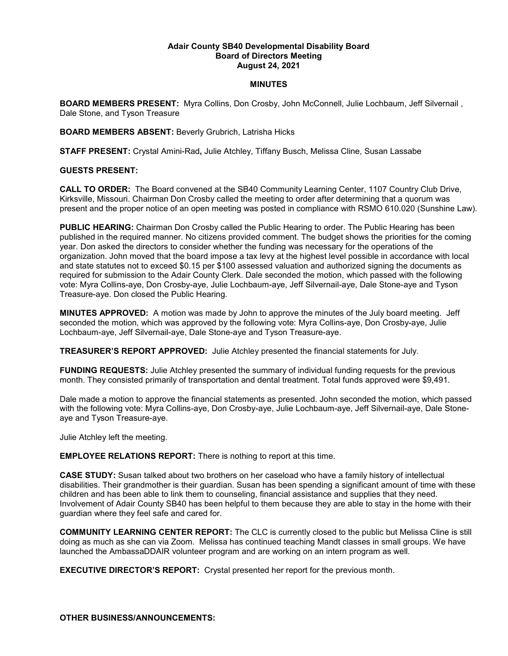## **Adair County SB40 Developmental Disability Board Board of Directors Meeting August 24, 2021**

## **MINUTES**

**BOARD MEMBERS PRESENT:** Myra Collins, Don Crosby, John McConnell, Julie Lochbaum, Jeff Silvernail , Dale Stone, and Tyson Treasure

## **BOARD MEMBERS ABSENT:** Beverly Grubrich, Latrisha Hicks

**STAFF PRESENT:** Crystal Amini-Rad**,** Julie Atchley, Tiffany Busch, Melissa Cline, Susan Lassabe

## **GUESTS PRESENT:**

**CALL TO ORDER:** The Board convened at the SB40 Community Learning Center, 1107 Country Club Drive, Kirksville, Missouri. Chairman Don Crosby called the meeting to order after determining that a quorum was present and the proper notice of an open meeting was posted in compliance with RSMO 610.020 (Sunshine Law).

**PUBLIC HEARING:** Chairman Don Crosby called the Public Hearing to order. The Public Hearing has been published in the required manner. No citizens provided comment. The budget shows the priorities for the coming year. Don asked the directors to consider whether the funding was necessary for the operations of the organization. John moved that the board impose a tax levy at the highest level possible in accordance with local and state statutes not to exceed \$0.15 per \$100 assessed valuation and authorized signing the documents as required for submission to the Adair County Clerk. Dale seconded the motion, which passed with the following vote: Myra Collins-aye, Don Crosby-aye, Julie Lochbaum-aye, Jeff Silvernail-aye, Dale Stone-aye and Tyson Treasure-aye. Don closed the Public Hearing.

**MINUTES APPROVED:** A motion was made by John to approve the minutes of the July board meeting. Jeff seconded the motion, which was approved by the following vote: Myra Collins-aye, Don Crosby-aye, Julie Lochbaum-aye, Jeff Silvernail-aye, Dale Stone-aye and Tyson Treasure-aye.

**TREASURER'S REPORT APPROVED:** Julie Atchley presented the financial statements for July.

**FUNDING REQUESTS:** Julie Atchley presented the summary of individual funding requests for the previous month. They consisted primarily of transportation and dental treatment. Total funds approved were \$9,491.

Dale made a motion to approve the financial statements as presented. John seconded the motion, which passed with the following vote: Myra Collins-aye, Don Crosby-aye, Julie Lochbaum-aye, Jeff Silvernail-aye, Dale Stoneaye and Tyson Treasure-aye.

Julie Atchley left the meeting.

**EMPLOYEE RELATIONS REPORT:** There is nothing to report at this time.

**CASE STUDY:** Susan talked about two brothers on her caseload who have a family history of intellectual disabilities. Their grandmother is their guardian. Susan has been spending a significant amount of time with these children and has been able to link them to counseling, financial assistance and supplies that they need. Involvement of Adair County SB40 has been helpful to them because they are able to stay in the home with their guardian where they feel safe and cared for.

**COMMUNITY LEARNING CENTER REPORT:** The CLC is currently closed to the public but Melissa Cline is still doing as much as she can via Zoom. Melissa has continued teaching Mandt classes in small groups. We have launched the AmbassaDDAIR volunteer program and are working on an intern program as well.

**EXECUTIVE DIRECTOR'S REPORT:** Crystal presented her report for the previous month.